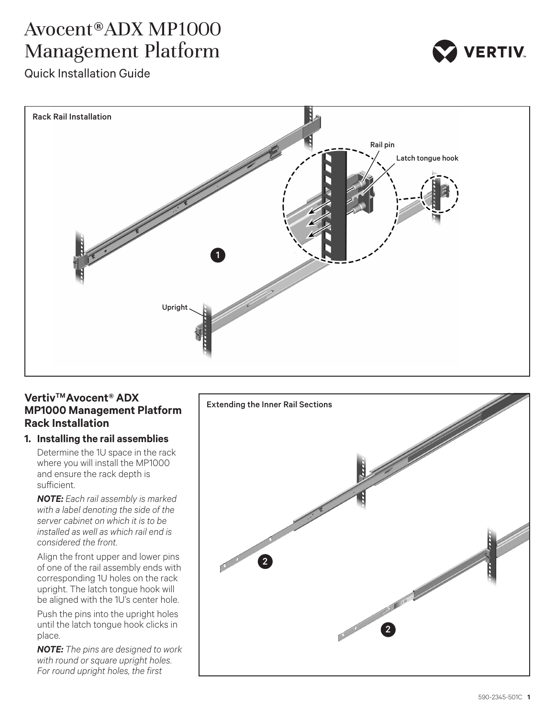# Avocent® ADX MP1000 Management Platform



Quick Installation Guide



## Vertiv<sup>™</sup> Avocent<sup>®</sup> ADX **MP1000 Management Platform Rack Installation**

## **1. Installing the rail assemblies**

Determine the 1U space in the rack where you will install the MP1000 and ensure the rack depth is sufficient.

*NOTE: Each rail assembly is marked with a label denoting the side of the server cabinet on which it is to be installed as well as which rail end is considered the front.* 

Align the front upper and lower pins of one of the rail assembly ends with corresponding 1U holes on the rack upright. The latch tongue hook will be aligned with the 1U's center hole.

Push the pins into the upright holes until the latch tongue hook clicks in place.

*NOTE: The pins are designed to work with round or square upright holes. For round upright holes, the first* 

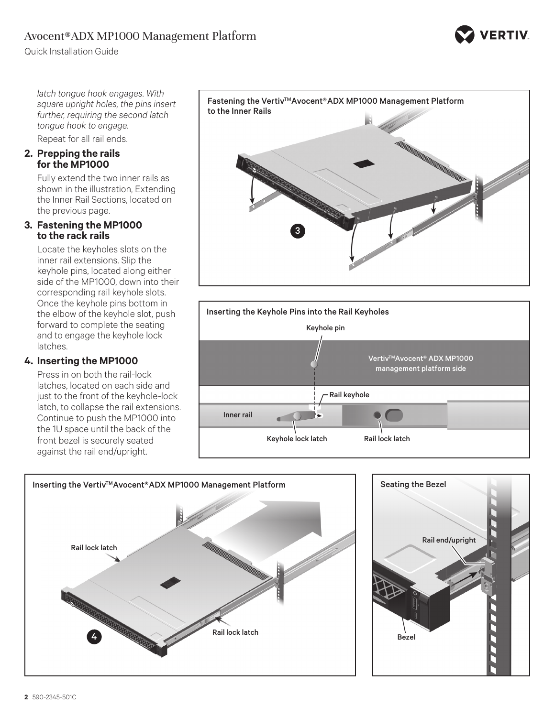# Avocent® ADX MP1000 Management Platform



*latch tongue hook engages. With square upright holes, the pins insert further, requiring the second latch tongue hook to engage.* 

Repeat for all rail ends.

#### **2. Prepping the rails for the MP1000**

Fully extend the two inner rails as shown in the illustration, Extending the Inner Rail Sections, located on the previous page.

#### **3. Fastening the MP1000 to the rack rails**

Locate the keyholes slots on the inner rail extensions. Slip the keyhole pins, located along either side of the MP1000, down into their corresponding rail keyhole slots. Once the keyhole pins bottom in the elbow of the keyhole slot, push forward to complete the seating and to engage the keyhole lock latches.

## **4. Inserting the MP1000**

Press in on both the rail-lock latches, located on each side and just to the front of the keyhole-lock latch, to collapse the rail extensions. Continue to push the MP1000 into the 1U space until the back of the front bezel is securely seated against the rail end/upright.









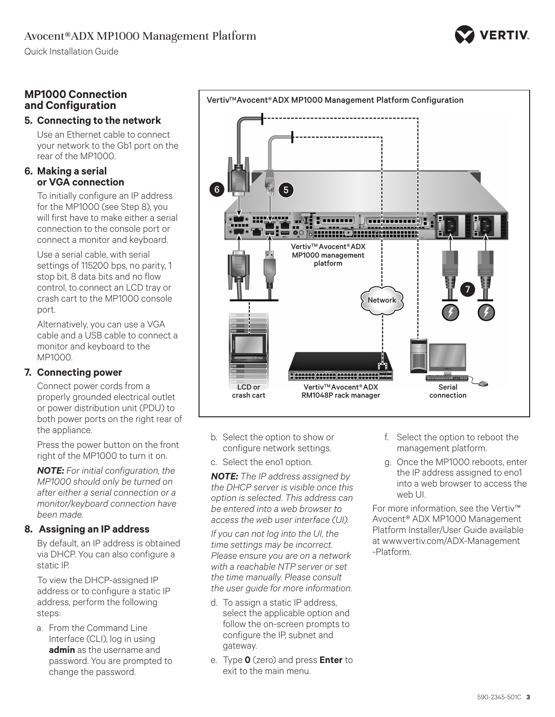Quick Installation Guide

# **MP1000 Connection and Configuration**

## **5. Connecting to the network**

Use an Ethernet cable to connect your network to the Gb1 port on the rear of the MP1000.

#### **6. Making a serial or VGA connection**

To initially configure an IP address for the MP1000 (see Step 8), you will first have to make either a serial connection to the console port or connect a monitor and keyboard.

Use a serial cable, with serial settings of 115200 bps, no parity, 1 stop bit, 8 data bits and no flow control, to connect an LCD tray or crash cart to the MP1000 console port.

Alternatively, you can use a VGA cable and a USB cable to connect a monitor and keyboard to the MP1000.

## **7. Connecting power**

Connect power cords from a properly grounded electrical outlet or power distribution unit (PDU) to both power ports on the right rear of the appliance.

Press the power button on the front right of the MP1000 to turn it on.

*NOTE: For initial configuration, the MP1000 should only be turned on after either a serial connection or a monitor/keyboard connection have been made.* 

# **8. Assigning an IP address**

By default, an IP address is obtained via DHCP. You can also configure a static IP.

To view the DHCP-assigned IP address or to configure a static IP address, perform the following steps:

a. From the Command Line Interface (CLI), log in using **admin** as the username and password. You are prompted to change the password.



RM1048P rack manager

Vertiv<sup>™</sup> Avocent® ADX MP1000 Management Platform Configuration

b. Select the option to show or configure network settings.

c. Select the eno1 option.

crash cart

6 LL TM (5

*NOTE: The IP address assigned by the DHCP server is visible once this option is selected. This address can be entered into a web browser to access the web user interface (UI).*

*If you can not log into the UI, the time settings may be incorrect. Please ensure you are on a network with a reachable NTP server or set the time manually. Please consult the user guide for more information.*

- d. To assign a static IP address, select the applicable option and follow the on-screen prompts to configure the IP, subnet and gateway.
- e. Type **0** (zero) and press **Enter** to exit to the main menu.

f. Select the option to reboot the management platform.

connection

7

g. Once the MP1000 reboots, enter the IP address assigned to eno1 into a web browser to access the web UI.

For more information, see the Vertiv™ Avocent® ADX MP1000 Management Platform Installer/User Guide available at www.vertiv.com/ADX-Management -Platform.